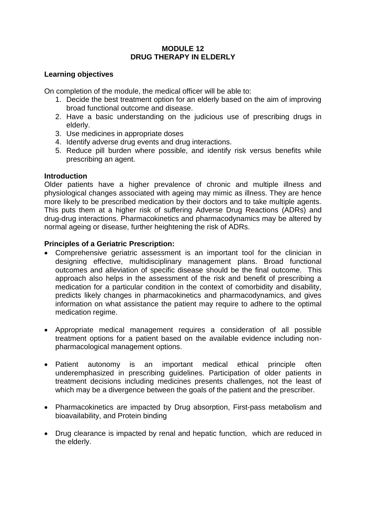## **MODULE 12 DRUG THERAPY IN ELDERLY**

### **Learning objectives**

On completion of the module, the medical officer will be able to:

- 1. Decide the best treatment option for an elderly based on the aim of improving broad functional outcome and disease.
- 2. Have a basic understanding on the judicious use of prescribing drugs in elderly.
- 3. Use medicines in appropriate doses
- 4. Identify adverse drug events and drug interactions.
- 5. Reduce pill burden where possible, and identify risk versus benefits while prescribing an agent.

## **Introduction**

Older patients have a higher prevalence of chronic and multiple illness and physiological changes associated with ageing may mimic as illness. They are hence more likely to be prescribed medication by their doctors and to take multiple agents. This puts them at a higher risk of suffering Adverse Drug Reactions (ADRs) and drug-drug interactions. Pharmacokinetics and pharmacodynamics may be altered by normal ageing or disease, further heightening the risk of ADRs.

## **Principles of a Geriatric Prescription:**

- Comprehensive geriatric assessment is an important tool for the clinician in designing effective, multidisciplinary management plans. Broad functional outcomes and alleviation of specific disease should be the final outcome. This approach also helps in the assessment of the risk and benefit of prescribing a medication for a particular condition in the context of comorbidity and disability, predicts likely changes in pharmacokinetics and pharmacodynamics, and gives information on what assistance the patient may require to adhere to the optimal medication regime.
- Appropriate medical management requires a consideration of all possible treatment options for a patient based on the available evidence including nonpharmacological management options.
- Patient autonomy is an important medical ethical principle often underemphasized in prescribing guidelines. Participation of older patients in treatment decisions including medicines presents challenges, not the least of which may be a divergence between the goals of the patient and the prescriber.
- Pharmacokinetics are impacted by Drug absorption, First-pass metabolism and bioavailability, and Protein binding
- Drug clearance is impacted by renal and hepatic function, which are reduced in the elderly.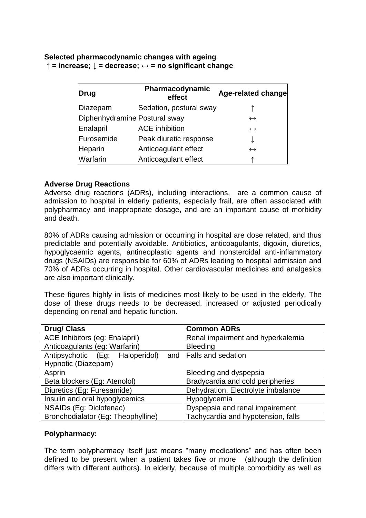### **Selected pharmacodynamic changes with ageing ↑ = increase; ↓ = decrease; ↔ = no significant change**

| <b>Drug</b>                   | Pharmacodynamic<br>effect | Age-related change |
|-------------------------------|---------------------------|--------------------|
| Diazepam                      | Sedation, postural sway   |                    |
| Diphenhydramine Postural sway |                           | $\leftrightarrow$  |
| Enalapril                     | <b>ACE</b> inhibition     | $\leftrightarrow$  |
| Furosemide                    | Peak diuretic response    |                    |
| Heparin                       | Anticoagulant effect      | $\leftrightarrow$  |
| Warfarin                      | Anticoagulant effect      |                    |

#### **Adverse Drug Reactions**

Adverse drug reactions (ADRs), including interactions, are a common cause of admission to hospital in elderly patients, especially frail, are often associated with polypharmacy and inappropriate dosage, and are an important cause of morbidity and death.

80% of ADRs causing admission or occurring in hospital are dose related, and thus predictable and potentially avoidable. Antibiotics, anticoagulants, digoxin, diuretics, hypoglycaemic agents, antineoplastic agents and nonsteroidal anti-inflammatory drugs (NSAIDs) are responsible for 60% of ADRs leading to hospital admission and 70% of ADRs occurring in hospital. Other cardiovascular medicines and analgesics are also important clinically.

These figures highly in lists of medicines most likely to be used in the elderly. The dose of these drugs needs to be decreased, increased or adjusted periodically depending on renal and hepatic function.

| <b>Drug/Class</b>                  | <b>Common ADRs</b>                 |  |
|------------------------------------|------------------------------------|--|
| ACE Inhibitors (eg: Enalapril)     | Renal impairment and hyperkalemia  |  |
| Anticoagulants (eg: Warfarin)      | <b>Bleeding</b>                    |  |
| Antipsychotic (Eg: Haloperidol)    | and   Falls and sedation           |  |
| Hypnotic (Diazepam)                |                                    |  |
| Asprin                             | Bleeding and dyspepsia             |  |
| Beta blockers (Eg: Atenolol)       | Bradycardia and cold peripheries   |  |
| Diuretics (Eg: Furesamide)         | Dehydration, Electrolyte imbalance |  |
| Insulin and oral hypoglycemics     | Hypoglycemia                       |  |
| NSAIDs (Eg: Diclofenac)            | Dyspepsia and renal impairement    |  |
| Bronchodialator (Eg: Theophylline) | Tachycardia and hypotension, falls |  |

### **Polypharmacy:**

The term polypharmacy itself just means "many medications" and has often been defined to be present when a patient takes five or more (although the definition differs with different authors). In elderly, because of multiple comorbidity as well as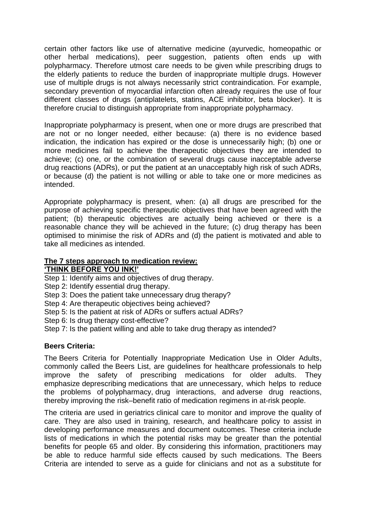certain other factors like use of alternative medicine (ayurvedic, homeopathic or other herbal medications), peer suggestion, patients often ends up with polypharmacy. Therefore utmost care needs to be given while prescribing drugs to the elderly patients to reduce the burden of inappropriate multiple drugs. However use of multiple drugs is not always necessarily strict contraindication. For example, secondary prevention of myocardial infarction often already requires the use of four different classes of drugs (antiplatelets, statins, ACE inhibitor, beta blocker). It is therefore crucial to distinguish appropriate from inappropriate polypharmacy.

Inappropriate polypharmacy is present, when one or more drugs are prescribed that are not or no longer needed, either because: (a) there is no evidence based indication, the indication has expired or the dose is unnecessarily high; (b) one or more medicines fail to achieve the therapeutic objectives they are intended to achieve; (c) one, or the combination of several drugs cause inacceptable adverse drug reactions (ADRs), or put the patient at an unacceptably high risk of such ADRs, or because (d) the patient is not willing or able to take one or more medicines as intended.

Appropriate polypharmacy is present, when: (a) all drugs are prescribed for the purpose of achieving specific therapeutic objectives that have been agreed with the patient; (b) therapeutic objectives are actually being achieved or there is a reasonable chance they will be achieved in the future; (c) drug therapy has been optimised to minimise the risk of ADRs and (d) the patient is motivated and able to take all medicines as intended.

#### **The 7 steps approach to medication review: 'THINK BEFORE YOU INK!'**

Step 1: Identify aims and objectives of drug therapy.

Step 2: Identify essential drug therapy.

Step 3: Does the patient take unnecessary drug therapy?

Step 4: Are therapeutic objectives being achieved?

Step 5: Is the patient at risk of ADRs or suffers actual ADRs?

Step 6: Is drug therapy cost-effective?

Step 7: Is the patient willing and able to take drug therapy as intended?

### **Beers Criteria:**

The Beers Criteria for Potentially Inappropriate Medication Use in Older Adults, commonly called the Beers List, are guidelines for healthcare professionals to help improve the safety of prescribing medications for older adults. They emphasize deprescribing medications that are [unnecessary,](https://en.wikipedia.org/wiki/Unnecessary_health_care) which helps to reduce the problems of polypharmacy, drug interactions, and adverse drug reactions, thereby improving the risk–benefit ratio of medication regimens in at-risk people.

The criteria are used in geriatrics clinical care to monitor and improve the quality of care. They are also used in training, research, and healthcare policy to assist in developing performance measures and document outcomes. These criteria include lists of medications in which the potential risks may be greater than the potential benefits for people 65 and older. By considering this information, practitioners may be able to reduce harmful side effects caused by such medications. The Beers Criteria are intended to serve as a guide for clinicians and not as a substitute for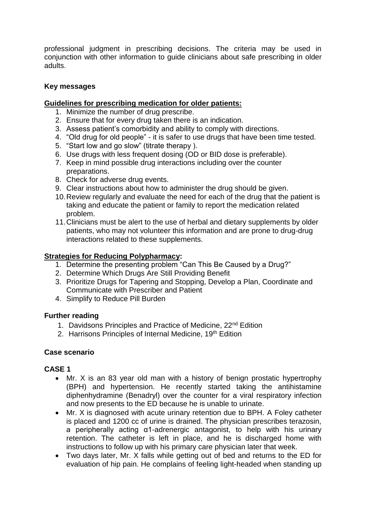professional judgment in prescribing decisions. The criteria may be used in conjunction with other information to guide clinicians about safe prescribing in older adults.

# **Key messages**

### **Guidelines for prescribing medication for older patients:**

- 1. Minimize the number of drug prescribe.
- 2. Ensure that for every drug taken there is an indication.
- 3. Assess patient's comorbidity and ability to comply with directions.
- 4. "Old drug for old people" it is safer to use drugs that have been time tested.
- 5. "Start low and go slow" (titrate therapy ).
- 6. Use drugs with less frequent dosing (OD or BID dose is preferable).
- 7. Keep in mind possible drug interactions including over the counter preparations.
- 8. Check for adverse drug events.
- 9. Clear instructions about how to administer the drug should be given.
- 10.Review regularly and evaluate the need for each of the drug that the patient is taking and educate the patient or family to report the medication related problem.
- 11.Clinicians must be alert to the use of herbal and dietary supplements by older patients, who may not volunteer this information and are prone to drug-drug interactions related to these supplements.

# **Strategies for Reducing Polypharmacy:**

- 1. Determine the presenting problem "Can This Be Caused by a Drug?"
- 2. Determine Which Drugs Are Still Providing Benefit
- 3. Prioritize Drugs for Tapering and Stopping, Develop a Plan, Coordinate and Communicate with Prescriber and Patient
- 4. Simplify to Reduce Pill Burden

### **Further reading**

- 1. Davidsons Principles and Practice of Medicine, 22<sup>nd</sup> Edition
- 2. Harrisons Principles of Internal Medicine, 19th Edition

# **Case scenario**

### **CASE 1**

- Mr. X is an 83 year old man with a history of benign prostatic hypertrophy (BPH) and hypertension. He recently started taking the antihistamine diphenhydramine (Benadryl) over the counter for a viral respiratory infection and now presents to the ED because he is unable to urinate.
- Mr. X is diagnosed with acute urinary retention due to BPH. A Foley catheter is placed and 1200 cc of urine is drained. The physician prescribes terazosin, a peripherally acting α1-adrenergic antagonist, to help with his urinary retention. The catheter is left in place, and he is discharged home with instructions to follow up with his primary care physician later that week.
- Two days later, Mr. X falls while getting out of bed and returns to the ED for evaluation of hip pain. He complains of feeling light-headed when standing up